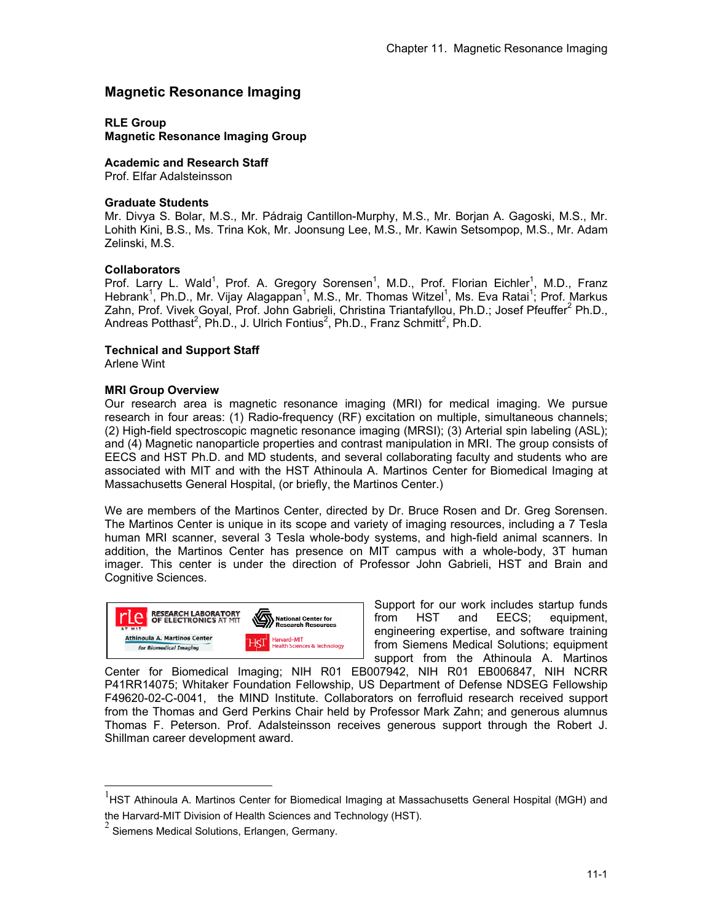# **Magnetic Resonance Imaging**

**RLE Group** 

**Magnetic Resonance Imaging Group** 

**Academic and Research Staff**  Prof. Elfar Adalsteinsson

**Graduate Students** 

Mr. Divya S. Bolar, M.S., Mr. Pádraig Cantillon-Murphy, M.S., Mr. Borjan A. Gagoski, M.S., Mr. Lohith Kini, B.S., Ms. Trina Kok, Mr. Joonsung Lee, M.S., Mr. Kawin Setsompop, M.S., Mr. Adam Zelinski, M.S.

# **Collaborators**

Prof. Larry L. Wald<sup>1</sup>, Prof. A. Gregory Sorensen<sup>1</sup>, M.D., Prof. Florian Eichler<sup>1</sup>, M.D., Franz Hebrank<sup>1</sup>, Ph.D., Mr. Vijay Alagappan<sup>1</sup>, M.S., Mr. Thomas Witzel<sup>1</sup>, Ms. Eva Ratai<sup>1</sup>; Prof. Markus Zahn, Prof. Vivek Goyal, Prof. John Gabrieli, Christina Triantafyllou, Ph.D.; Josef Pfeuffer<sup>2</sup> Ph.D., Andreas Potthast<sup>2</sup>, Ph.D., J. Ulrich Fontius<sup>2</sup>, Ph.D., Franz Schmitt<sup>2</sup>, Ph.D.

# **Technical and Support Staff**

Arlene Wint

-

# **MRI Group Overview**

Our research area is magnetic resonance imaging (MRI) for medical imaging. We pursue research in four areas: (1) Radio-frequency (RF) excitation on multiple, simultaneous channels; (2) High-field spectroscopic magnetic resonance imaging (MRSI); (3) Arterial spin labeling (ASL); and (4) Magnetic nanoparticle properties and contrast manipulation in MRI. The group consists of EECS and HST Ph.D. and MD students, and several collaborating faculty and students who are associated with MIT and with the HST Athinoula A. Martinos Center for Biomedical Imaging at Massachusetts General Hospital, (or briefly, the Martinos Center.)

We are members of the Martinos Center, directed by Dr. Bruce Rosen and Dr. Greg Sorensen. The Martinos Center is unique in its scope and variety of imaging resources, including a 7 Tesla human MRI scanner, several 3 Tesla whole-body systems, and high-field animal scanners. In addition, the Martinos Center has presence on MIT campus with a whole-body, 3T human imager. This center is under the direction of Professor John Gabrieli, HST and Brain and Cognitive Sciences.



Support for our work includes startup funds from HST and EECS: equipment, engineering expertise, and software training from Siemens Medical Solutions; equipment support from the Athinoula A. Martinos

Center for Biomedical Imaging; NIH R01 EB007942, NIH R01 EB006847, NIH NCRR P41RR14075; Whitaker Foundation Fellowship, US Department of Defense NDSEG Fellowship F49620-02-C-0041, the MIND Institute. Collaborators on ferrofluid research received support from the Thomas and Gerd Perkins Chair held by Professor Mark Zahn; and generous alumnus Thomas F. Peterson. Prof. Adalsteinsson receives generous support through the Robert J. Shillman career development award.

 $<sup>1</sup>$ HST Athinoula A. Martinos Center for Biomedical Imaging at Massachusetts General Hospital (MGH) and</sup> the Harvard-MIT Division of Health Sciences and Technology (HST).

 $2$  Siemens Medical Solutions, Erlangen, Germany.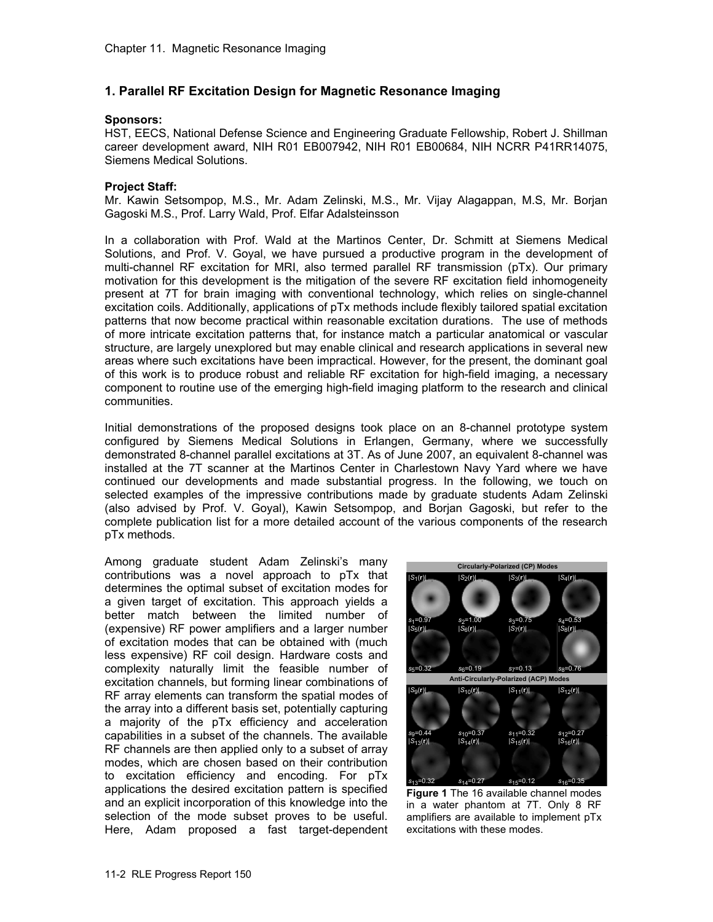# **1. Parallel RF Excitation Design for Magnetic Resonance Imaging**

#### **Sponsors:**

HST, EECS, National Defense Science and Engineering Graduate Fellowship, Robert J. Shillman career development award, NIH R01 EB007942, NIH R01 EB00684, NIH NCRR P41RR14075, Siemens Medical Solutions.

### **Project Staff:**

Mr. Kawin Setsompop, M.S., Mr. Adam Zelinski, M.S., Mr. Vijay Alagappan, M.S, Mr. Borjan Gagoski M.S., Prof. Larry Wald, Prof. Elfar Adalsteinsson

In a collaboration with Prof. Wald at the Martinos Center, Dr. Schmitt at Siemens Medical Solutions, and Prof. V. Goyal, we have pursued a productive program in the development of multi-channel RF excitation for MRI, also termed parallel RF transmission (pTx). Our primary motivation for this development is the mitigation of the severe RF excitation field inhomogeneity present at 7T for brain imaging with conventional technology, which relies on single-channel excitation coils. Additionally, applications of pTx methods include flexibly tailored spatial excitation patterns that now become practical within reasonable excitation durations. The use of methods of more intricate excitation patterns that, for instance match a particular anatomical or vascular structure, are largely unexplored but may enable clinical and research applications in several new areas where such excitations have been impractical. However, for the present, the dominant goal of this work is to produce robust and reliable RF excitation for high-field imaging, a necessary component to routine use of the emerging high-field imaging platform to the research and clinical communities.

Initial demonstrations of the proposed designs took place on an 8-channel prototype system configured by Siemens Medical Solutions in Erlangen, Germany, where we successfully demonstrated 8-channel parallel excitations at 3T. As of June 2007, an equivalent 8-channel was installed at the 7T scanner at the Martinos Center in Charlestown Navy Yard where we have continued our developments and made substantial progress. In the following, we touch on selected examples of the impressive contributions made by graduate students Adam Zelinski (also advised by Prof. V. Goyal), Kawin Setsompop, and Borjan Gagoski, but refer to the complete publication list for a more detailed account of the various components of the research pTx methods.

Among graduate student Adam Zelinski's many contributions was a novel approach to pTx that determines the optimal subset of excitation modes for a given target of excitation. This approach yields a better match between the limited number of (expensive) RF power amplifiers and a larger number of excitation modes that can be obtained with (much less expensive) RF coil design. Hardware costs and complexity naturally limit the feasible number of excitation channels, but forming linear combinations of RF array elements can transform the spatial modes of the array into a different basis set, potentially capturing a majority of the pTx efficiency and acceleration capabilities in a subset of the channels. The available RF channels are then applied only to a subset of array modes, which are chosen based on their contribution to excitation efficiency and encoding. For pTx applications the desired excitation pattern is specified and an explicit incorporation of this knowledge into the selection of the mode subset proves to be useful. Here, Adam proposed a fast target-dependent



**Figure 1** The 16 available channel modes in a water phantom at 7T. Only 8 RF amplifiers are available to implement pTx excitations with these modes.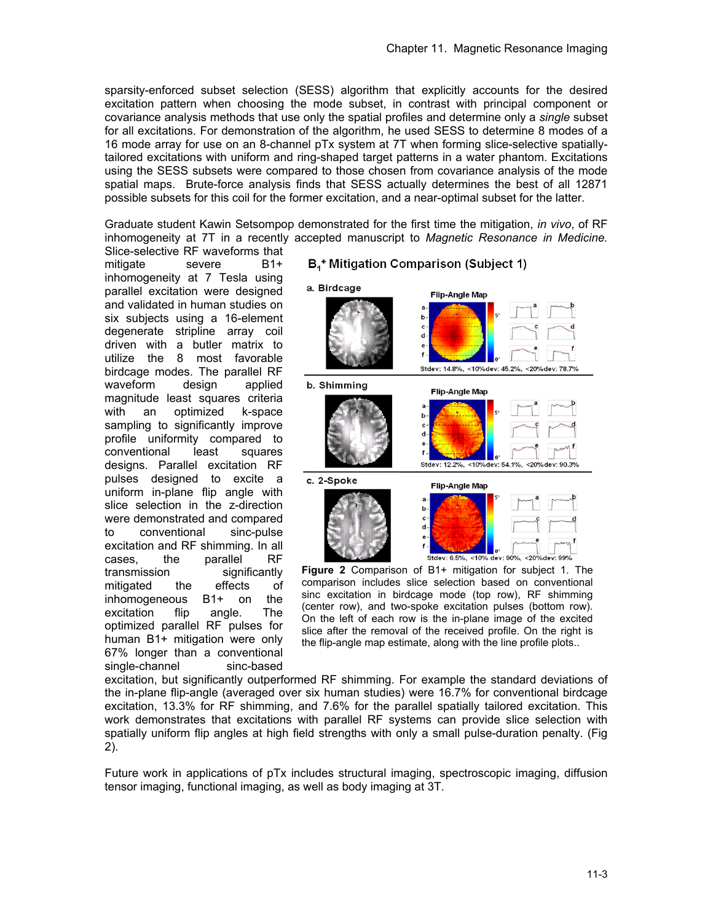sparsity-enforced subset selection (SESS) algorithm that explicitly accounts for the desired excitation pattern when choosing the mode subset, in contrast with principal component or covariance analysis methods that use only the spatial profiles and determine only a *single* subset for all excitations. For demonstration of the algorithm, he used SESS to determine 8 modes of a 16 mode array for use on an 8-channel pTx system at 7T when forming slice-selective spatiallytailored excitations with uniform and ring-shaped target patterns in a water phantom. Excitations using the SESS subsets were compared to those chosen from covariance analysis of the mode spatial maps. Brute-force analysis finds that SESS actually determines the best of all 12871 possible subsets for this coil for the former excitation, and a near-optimal subset for the latter.

Graduate student Kawin Setsompop demonstrated for the first time the mitigation, *in vivo*, of RF inhomogeneity at 7T in a recently accepted manuscript to *Magnetic Resonance in Medicine.*

Slice-selective RF waveforms that mitigate severe B1+ inhomogeneity at 7 Tesla using parallel excitation were designed and validated in human studies on six subjects using a 16-element degenerate stripline array coil driven with a butler matrix to utilize the 8 most favorable birdcage modes. The parallel RF waveform design applied magnitude least squares criteria with an optimized k-space sampling to significantly improve profile uniformity compared to conventional least squares designs. Parallel excitation RF pulses designed to excite a uniform in-plane flip angle with slice selection in the z-direction were demonstrated and compared to conventional sinc-pulse excitation and RF shimming. In all cases, the parallel RF transmission significantly mitigated the effects of inhomogeneous B1+ on the excitation flip angle. The optimized parallel RF pulses for human B1+ mitigation were only 67% longer than a conventional single-channel sinc-based



B<sub>1</sub><sup>+</sup> Mitigation Comparison (Subject 1)

comparison includes slice selection based on conventional sinc excitation in birdcage mode (top row), RF shimming (center row), and two-spoke excitation pulses (bottom row). On the left of each row is the in-plane image of the excited slice after the removal of the received profile. On the right is the flip-angle map estimate, along with the line profile plots..

excitation, but significantly outperformed RF shimming. For example the standard deviations of the in-plane flip-angle (averaged over six human studies) were 16.7% for conventional birdcage excitation, 13.3% for RF shimming, and 7.6% for the parallel spatially tailored excitation. This work demonstrates that excitations with parallel RF systems can provide slice selection with spatially uniform flip angles at high field strengths with only a small pulse-duration penalty. (Fig 2).

Future work in applications of pTx includes structural imaging, spectroscopic imaging, diffusion tensor imaging, functional imaging, as well as body imaging at 3T.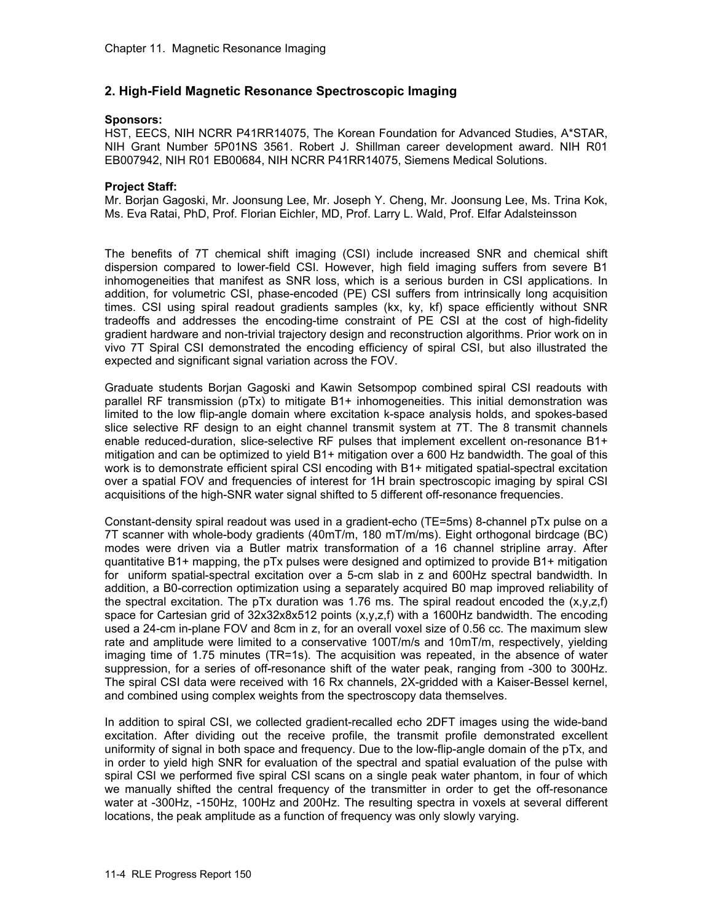# **2. High-Field Magnetic Resonance Spectroscopic Imaging**

#### **Sponsors:**

HST, EECS, NIH NCRR P41RR14075, The Korean Foundation for Advanced Studies, A\*STAR, NIH Grant Number 5P01NS 3561. Robert J. Shillman career development award. NIH R01 EB007942, NIH R01 EB00684, NIH NCRR P41RR14075, Siemens Medical Solutions.

#### **Project Staff:**

Mr. Borjan Gagoski, Mr. Joonsung Lee, Mr. Joseph Y. Cheng, Mr. Joonsung Lee, Ms. Trina Kok, Ms. Eva Ratai, PhD, Prof. Florian Eichler, MD, Prof. Larry L. Wald, Prof. Elfar Adalsteinsson

The benefits of 7T chemical shift imaging (CSI) include increased SNR and chemical shift dispersion compared to lower-field CSI. However, high field imaging suffers from severe B1 inhomogeneities that manifest as SNR loss, which is a serious burden in CSI applications. In addition, for volumetric CSI, phase-encoded (PE) CSI suffers from intrinsically long acquisition times. CSI using spiral readout gradients samples (kx, ky, kf) space efficiently without SNR tradeoffs and addresses the encoding-time constraint of PE CSI at the cost of high-fidelity gradient hardware and non-trivial trajectory design and reconstruction algorithms. Prior work on in vivo 7T Spiral CSI demonstrated the encoding efficiency of spiral CSI, but also illustrated the expected and significant signal variation across the FOV.

Graduate students Borjan Gagoski and Kawin Setsompop combined spiral CSI readouts with parallel RF transmission (pTx) to mitigate B1+ inhomogeneities. This initial demonstration was limited to the low flip-angle domain where excitation k-space analysis holds, and spokes-based slice selective RF design to an eight channel transmit system at 7T. The 8 transmit channels enable reduced-duration, slice-selective RF pulses that implement excellent on-resonance B1+ mitigation and can be optimized to yield B1+ mitigation over a 600 Hz bandwidth. The goal of this work is to demonstrate efficient spiral CSI encoding with B1+ mitigated spatial-spectral excitation over a spatial FOV and frequencies of interest for 1H brain spectroscopic imaging by spiral CSI acquisitions of the high-SNR water signal shifted to 5 different off-resonance frequencies.

Constant-density spiral readout was used in a gradient-echo (TE=5ms) 8-channel pTx pulse on a 7T scanner with whole-body gradients (40mT/m, 180 mT/m/ms). Eight orthogonal birdcage (BC) modes were driven via a Butler matrix transformation of a 16 channel stripline array. After quantitative B1+ mapping, the pTx pulses were designed and optimized to provide B1+ mitigation for uniform spatial-spectral excitation over a 5-cm slab in z and 600Hz spectral bandwidth. In addition, a B0-correction optimization using a separately acquired B0 map improved reliability of the spectral excitation. The pTx duration was 1.76 ms. The spiral readout encoded the  $(x,y,z,f)$ space for Cartesian grid of 32x32x8x512 points (x,y,z,f) with a 1600Hz bandwidth. The encoding used a 24-cm in-plane FOV and 8cm in z, for an overall voxel size of 0.56 cc. The maximum slew rate and amplitude were limited to a conservative 100T/m/s and 10mT/m, respectively, yielding imaging time of 1.75 minutes (TR=1s). The acquisition was repeated, in the absence of water suppression, for a series of off-resonance shift of the water peak, ranging from -300 to 300Hz. The spiral CSI data were received with 16 Rx channels, 2X-gridded with a Kaiser-Bessel kernel, and combined using complex weights from the spectroscopy data themselves.

In addition to spiral CSI, we collected gradient-recalled echo 2DFT images using the wide-band excitation. After dividing out the receive profile, the transmit profile demonstrated excellent uniformity of signal in both space and frequency. Due to the low-flip-angle domain of the pTx, and in order to yield high SNR for evaluation of the spectral and spatial evaluation of the pulse with spiral CSI we performed five spiral CSI scans on a single peak water phantom, in four of which we manually shifted the central frequency of the transmitter in order to get the off-resonance water at -300Hz, -150Hz, 100Hz and 200Hz. The resulting spectra in voxels at several different locations, the peak amplitude as a function of frequency was only slowly varying.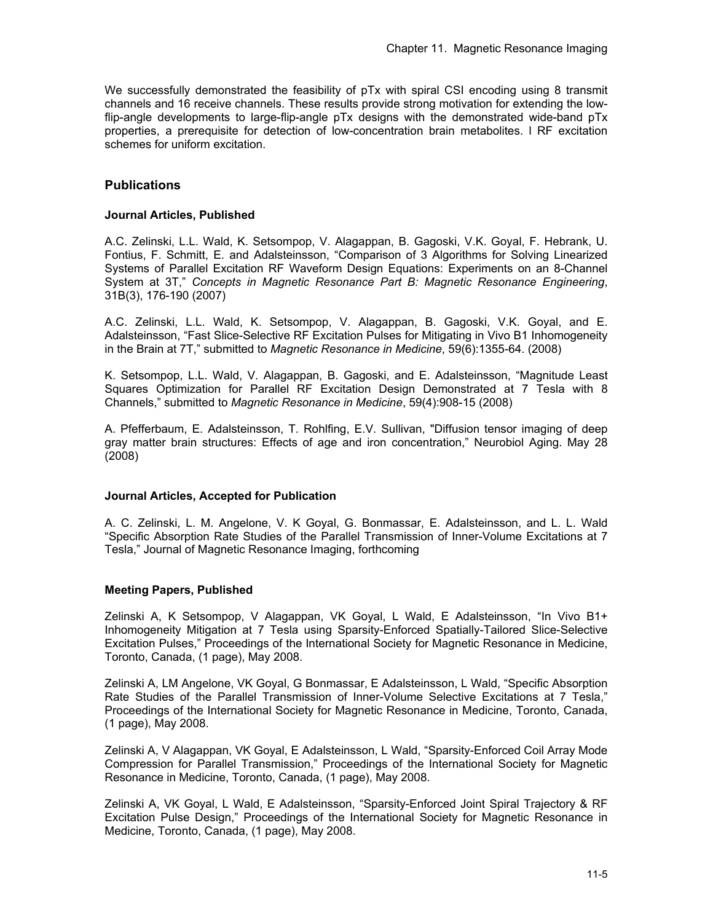We successfully demonstrated the feasibility of pTx with spiral CSI encoding using 8 transmit channels and 16 receive channels. These results provide strong motivation for extending the lowflip-angle developments to large-flip-angle pTx designs with the demonstrated wide-band pTx properties, a prerequisite for detection of low-concentration brain metabolites. l RF excitation schemes for uniform excitation.

# **Publications**

## **Journal Articles, Published**

A.C. Zelinski, L.L. Wald, K. Setsompop, V. Alagappan, B. Gagoski, V.K. Goyal, F. Hebrank, U. Fontius, F. Schmitt, E. and Adalsteinsson, "Comparison of 3 Algorithms for Solving Linearized Systems of Parallel Excitation RF Waveform Design Equations: Experiments on an 8-Channel System at 3T," *Concepts in Magnetic Resonance Part B: Magnetic Resonance Engineering*, 31B(3), 176-190 (2007)

A.C. Zelinski, L.L. Wald, K. Setsompop, V. Alagappan, B. Gagoski, V.K. Goyal, and E. Adalsteinsson, "Fast Slice-Selective RF Excitation Pulses for Mitigating in Vivo B1 Inhomogeneity in the Brain at 7T," submitted to *Magnetic Resonance in Medicine*, 59(6):1355-64. (2008)

K. Setsompop, L.L. Wald, V. Alagappan, B. Gagoski, and E. Adalsteinsson, "Magnitude Least Squares Optimization for Parallel RF Excitation Design Demonstrated at 7 Tesla with 8 Channels," submitted to *Magnetic Resonance in Medicine*, 59(4):908-15 (2008)

A. Pfefferbaum, E. Adalsteinsson, T. Rohlfing, E.V. Sullivan, "Diffusion tensor imaging of deep gray matter brain structures: Effects of age and iron concentration," Neurobiol Aging. May 28 (2008)

### **Journal Articles, Accepted for Publication**

A. C. Zelinski, L. M. Angelone, V. K Goyal, G. Bonmassar, E. Adalsteinsson, and L. L. Wald "Specific Absorption Rate Studies of the Parallel Transmission of Inner-Volume Excitations at 7 Tesla," Journal of Magnetic Resonance Imaging, forthcoming

### **Meeting Papers, Published**

Zelinski A, K Setsompop, V Alagappan, VK Goyal, L Wald, E Adalsteinsson, "In Vivo B1+ Inhomogeneity Mitigation at 7 Tesla using Sparsity-Enforced Spatially-Tailored Slice-Selective Excitation Pulses," Proceedings of the International Society for Magnetic Resonance in Medicine, Toronto, Canada, (1 page), May 2008.

Zelinski A, LM Angelone, VK Goyal, G Bonmassar, E Adalsteinsson, L Wald, "Specific Absorption Rate Studies of the Parallel Transmission of Inner-Volume Selective Excitations at 7 Tesla," Proceedings of the International Society for Magnetic Resonance in Medicine, Toronto, Canada, (1 page), May 2008.

Zelinski A, V Alagappan, VK Goyal, E Adalsteinsson, L Wald, "Sparsity-Enforced Coil Array Mode Compression for Parallel Transmission," Proceedings of the International Society for Magnetic Resonance in Medicine, Toronto, Canada, (1 page), May 2008.

Zelinski A, VK Goyal, L Wald, E Adalsteinsson, "Sparsity-Enforced Joint Spiral Trajectory & RF Excitation Pulse Design," Proceedings of the International Society for Magnetic Resonance in Medicine, Toronto, Canada, (1 page), May 2008.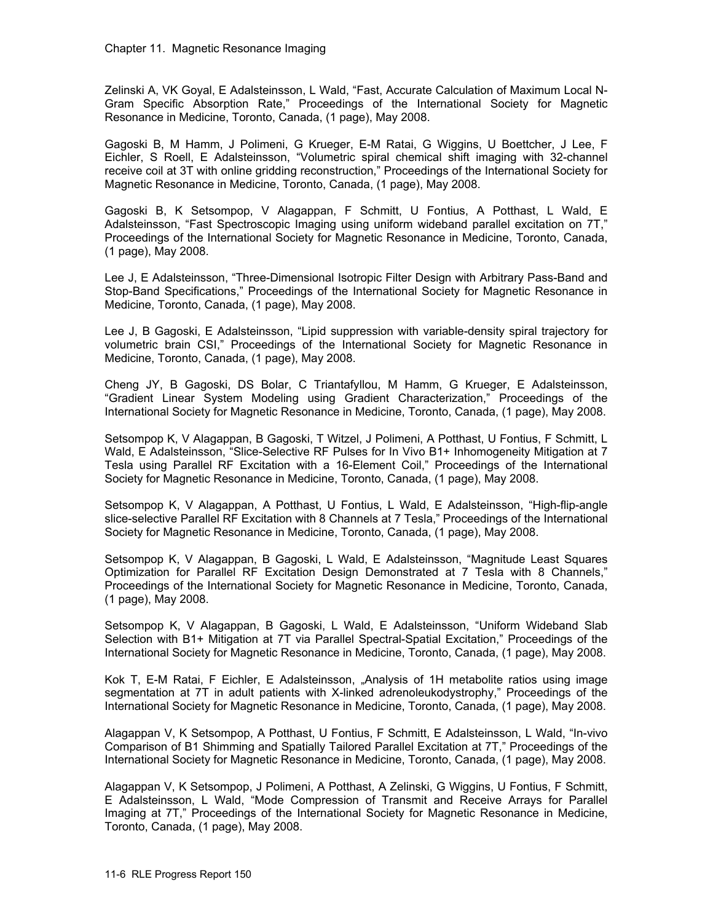Zelinski A, VK Goyal, E Adalsteinsson, L Wald, "Fast, Accurate Calculation of Maximum Local N-Gram Specific Absorption Rate," Proceedings of the International Society for Magnetic Resonance in Medicine, Toronto, Canada, (1 page), May 2008.

Gagoski B, M Hamm, J Polimeni, G Krueger, E-M Ratai, G Wiggins, U Boettcher, J Lee, F Eichler, S Roell, E Adalsteinsson, "Volumetric spiral chemical shift imaging with 32-channel receive coil at 3T with online gridding reconstruction," Proceedings of the International Society for Magnetic Resonance in Medicine, Toronto, Canada, (1 page), May 2008.

Gagoski B, K Setsompop, V Alagappan, F Schmitt, U Fontius, A Potthast, L Wald, E Adalsteinsson, "Fast Spectroscopic Imaging using uniform wideband parallel excitation on 7T," Proceedings of the International Society for Magnetic Resonance in Medicine, Toronto, Canada, (1 page), May 2008.

Lee J, E Adalsteinsson, "Three-Dimensional Isotropic Filter Design with Arbitrary Pass-Band and Stop-Band Specifications," Proceedings of the International Society for Magnetic Resonance in Medicine, Toronto, Canada, (1 page), May 2008.

Lee J, B Gagoski, E Adalsteinsson, "Lipid suppression with variable-density spiral trajectory for volumetric brain CSI," Proceedings of the International Society for Magnetic Resonance in Medicine, Toronto, Canada, (1 page), May 2008.

Cheng JY, B Gagoski, DS Bolar, C Triantafyllou, M Hamm, G Krueger, E Adalsteinsson, "Gradient Linear System Modeling using Gradient Characterization," Proceedings of the International Society for Magnetic Resonance in Medicine, Toronto, Canada, (1 page), May 2008.

Setsompop K, V Alagappan, B Gagoski, T Witzel, J Polimeni, A Potthast, U Fontius, F Schmitt, L Wald, E Adalsteinsson, "Slice-Selective RF Pulses for In Vivo B1+ Inhomogeneity Mitigation at 7 Tesla using Parallel RF Excitation with a 16-Element Coil," Proceedings of the International Society for Magnetic Resonance in Medicine, Toronto, Canada, (1 page), May 2008.

Setsompop K, V Alagappan, A Potthast, U Fontius, L Wald, E Adalsteinsson, "High-flip-angle slice-selective Parallel RF Excitation with 8 Channels at 7 Tesla," Proceedings of the International Society for Magnetic Resonance in Medicine, Toronto, Canada, (1 page), May 2008.

Setsompop K, V Alagappan, B Gagoski, L Wald, E Adalsteinsson, "Magnitude Least Squares Optimization for Parallel RF Excitation Design Demonstrated at 7 Tesla with 8 Channels," Proceedings of the International Society for Magnetic Resonance in Medicine, Toronto, Canada, (1 page), May 2008.

Setsompop K, V Alagappan, B Gagoski, L Wald, E Adalsteinsson, "Uniform Wideband Slab Selection with B1+ Mitigation at 7T via Parallel Spectral-Spatial Excitation," Proceedings of the International Society for Magnetic Resonance in Medicine, Toronto, Canada, (1 page), May 2008.

Kok T, E-M Ratai, F Eichler, E Adalsteinsson, "Analysis of 1H metabolite ratios using image segmentation at 7T in adult patients with X-linked adrenoleukodystrophy," Proceedings of the International Society for Magnetic Resonance in Medicine, Toronto, Canada, (1 page), May 2008.

Alagappan V, K Setsompop, A Potthast, U Fontius, F Schmitt, E Adalsteinsson, L Wald, "In-vivo Comparison of B1 Shimming and Spatially Tailored Parallel Excitation at 7T," Proceedings of the International Society for Magnetic Resonance in Medicine, Toronto, Canada, (1 page), May 2008.

Alagappan V, K Setsompop, J Polimeni, A Potthast, A Zelinski, G Wiggins, U Fontius, F Schmitt, E Adalsteinsson, L Wald, "Mode Compression of Transmit and Receive Arrays for Parallel Imaging at 7T," Proceedings of the International Society for Magnetic Resonance in Medicine, Toronto, Canada, (1 page), May 2008.